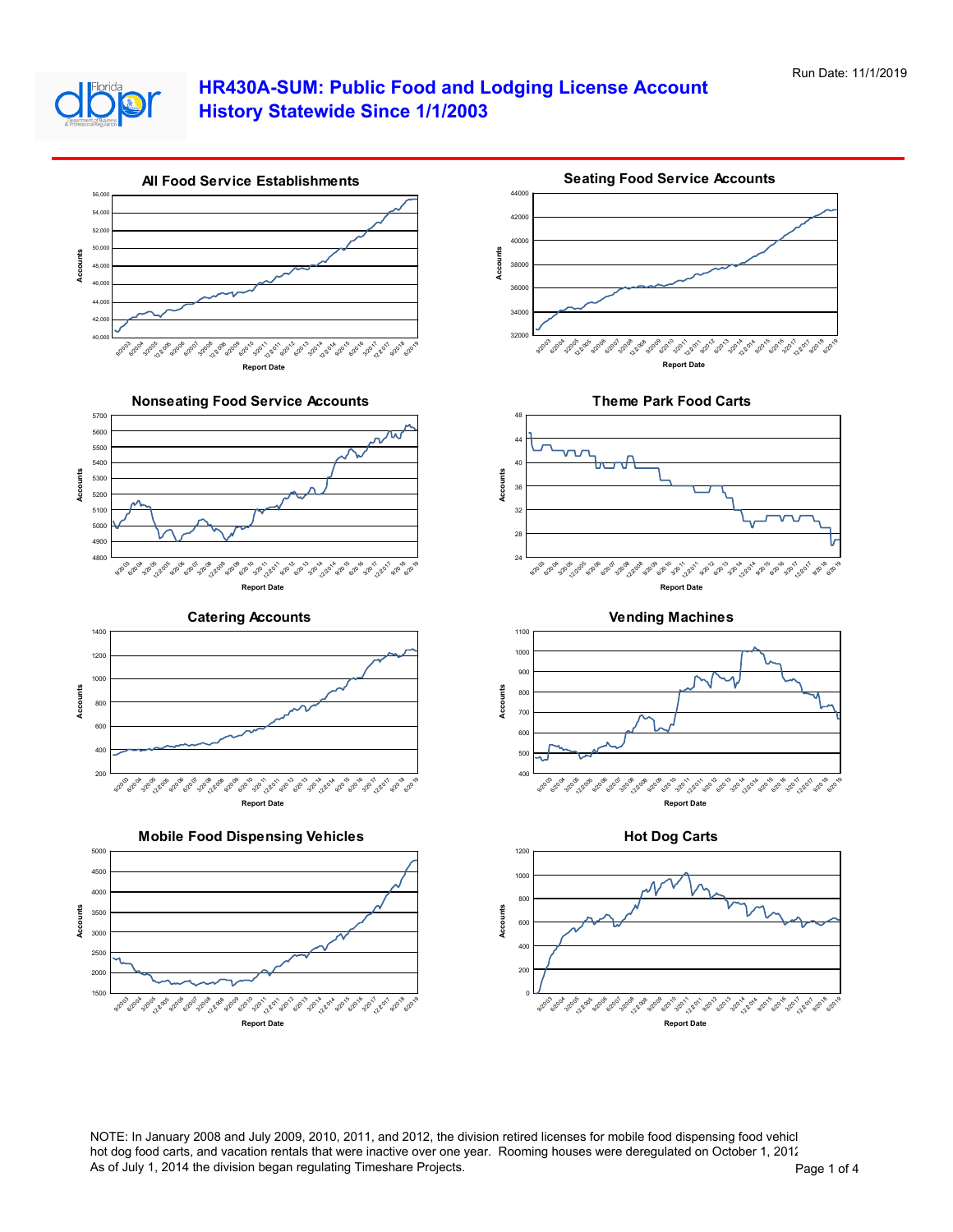



NOTE: In January 2008 and July 2009, 2010, 2011, and 2012, the division retired licenses for mobile food dispensing food vehicl hot dog food carts, and vacation rentals that were inactive over one year. Rooming houses were deregulated on October 1, 2012. As of July 1, 2014 the division began regulating Timeshare Projects. And The Transmission of 4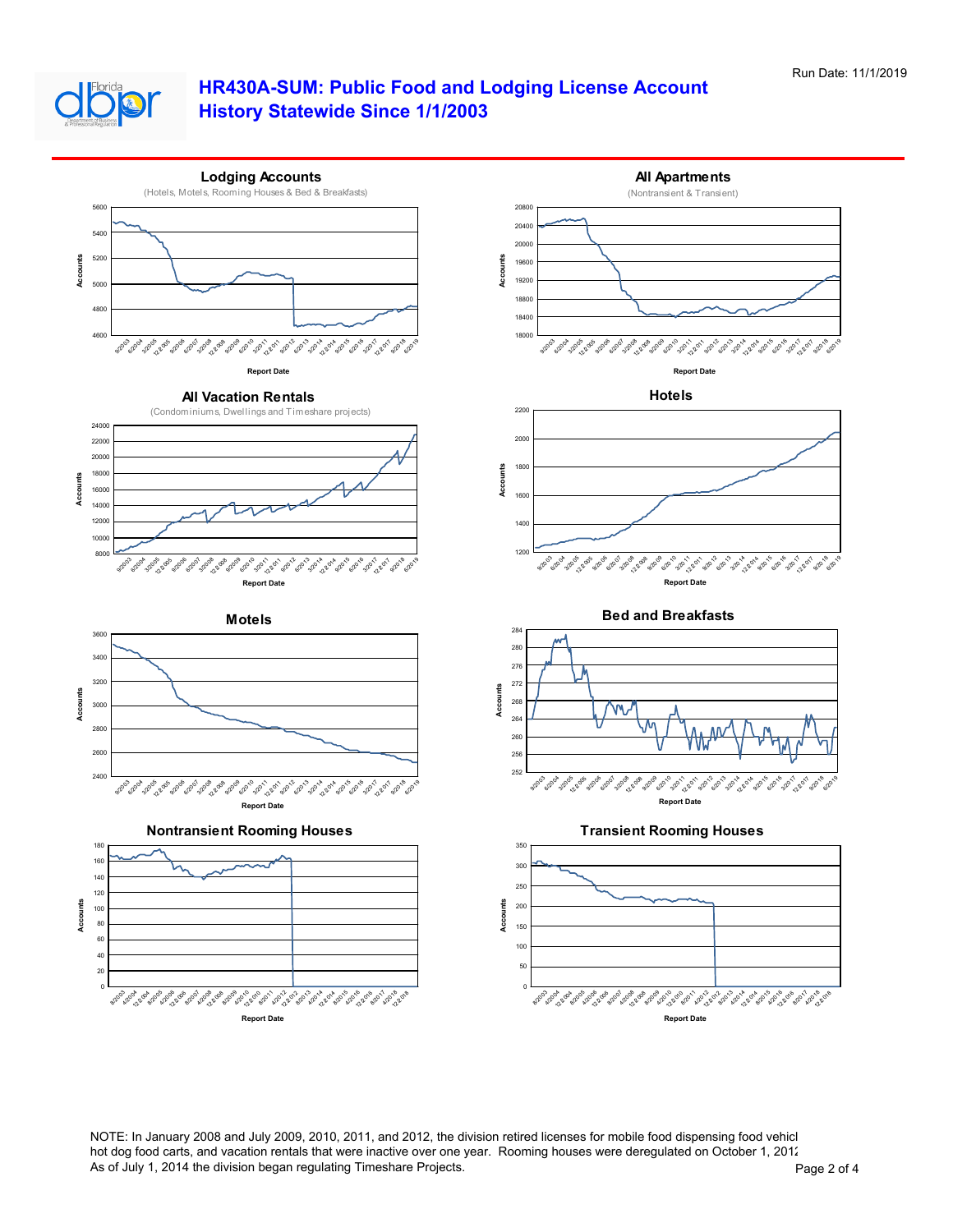



NOTE: In January 2008 and July 2009, 2010, 2011, and 2012, the division retired licenses for mobile food dispensing food vehicl hot dog food carts, and vacation rentals that were inactive over one year. Rooming houses were deregulated on October 1, 2012. As of July 1, 2014 the division began regulating Timeshare Projects. And The Contract of Assembly 1, 2014 the division began regulating Timeshare Projects.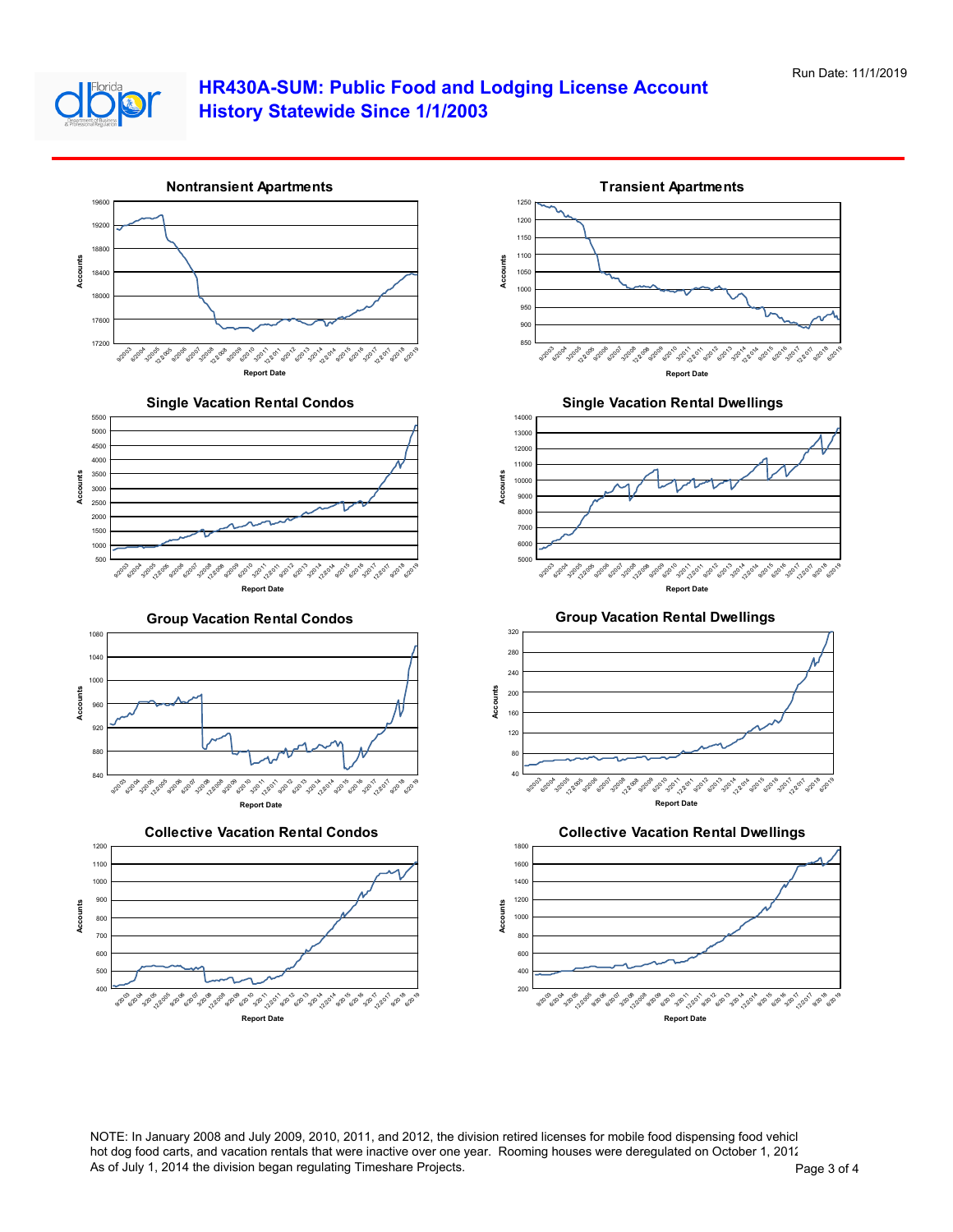



NOTE: In January 2008 and July 2009, 2010, 2011, and 2012, the division retired licenses for mobile food dispensing food vehicl hot dog food carts, and vacation rentals that were inactive over one year. Rooming houses were deregulated on October 1, 2012. As of July 1, 2014 the division began regulating Timeshare Projects. And The State 1 of 4